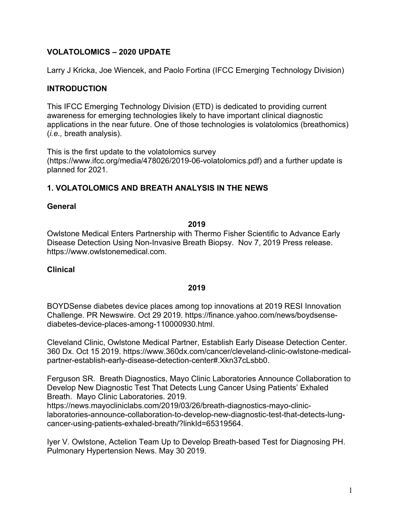# **VOLATOLOMICS – 2020 UPDATE**

Larry J Kricka, Joe Wiencek, and Paolo Fortina (IFCC Emerging Technology Division)

## **INTRODUCTION**

This IFCC Emerging Technology Division (ETD) is dedicated to providing current awareness for emerging technologies likely to have important clinical diagnostic applications in the near future. One of those technologies is volatolomics (breathomics) (*i.e.,* breath analysis).

This is the first update to the volatolomics survey (https://www.ifcc.org/media/478026/2019-06-volatolomics.pdf) and a further update is planned for 2021.

## **1. VOLATOLOMICS AND BREATH ANALYSIS IN THE NEWS**

## **General**

**2019**

Owlstone Medical Enters Partnership with Thermo Fisher Scientific to Advance Early Disease Detection Using Non-Invasive Breath Biopsy. Nov 7, 2019 Press release. https://www.owlstonemedical.com.

## **Clinical**

#### **2019**

BOYDSense diabetes device places among top innovations at 2019 RESI Innovation Challenge. PR Newswire. Oct 29 2019. https://finance.yahoo.com/news/boydsensediabetes-device-places-among-110000930.html.

Cleveland Clinic, Owlstone Medical Partner, Establish Early Disease Detection Center. 360 Dx. Oct 15 2019. https://www.360dx.com/cancer/cleveland-clinic-owlstone-medicalpartner-establish-early-disease-detection-center#.Xkn37cLsbb0.

Ferguson SR. Breath Diagnostics, Mayo Clinic Laboratories Announce Collaboration to Develop New Diagnostic Test That Detects Lung Cancer Using Patients' Exhaled Breath. Mayo Clinic Laboratories. 2019.

https://news.mayocliniclabs.com/2019/03/26/breath-diagnostics-mayo-cliniclaboratories-announce-collaboration-to-develop-new-diagnostic-test-that-detects-lungcancer-using-patients-exhaled-breath/?linkId=65319564.

Iyer V. Owlstone, Actelion Team Up to Develop Breath-based Test for Diagnosing PH. Pulmonary Hypertension News. May 30 2019.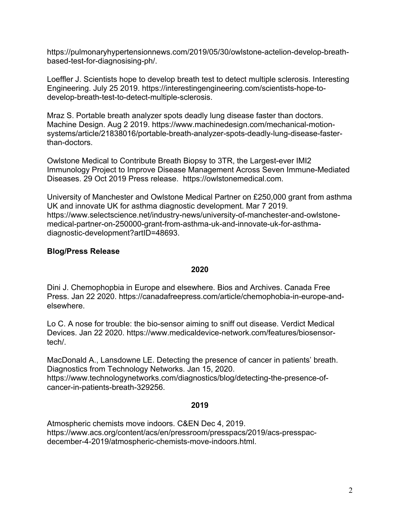https://pulmonaryhypertensionnews.com/2019/05/30/owlstone-actelion-develop-breathbased-test-for-diagnosising-ph/.

Loeffler J. Scientists hope to develop breath test to detect multiple sclerosis. Interesting Engineering. July 25 2019. https://interestingengineering.com/scientists-hope-todevelop-breath-test-to-detect-multiple-sclerosis.

Mraz S. Portable breath analyzer spots deadly lung disease faster than doctors. Machine Design. Aug 2 2019. https://www.machinedesign.com/mechanical-motionsystems/article/21838016/portable-breath-analyzer-spots-deadly-lung-disease-fasterthan-doctors.

Owlstone Medical to Contribute Breath Biopsy to 3TR, the Largest-ever IMI2 Immunology Project to Improve Disease Management Across Seven Immune-Mediated Diseases. 29 Oct 2019 Press release. https://owlstonemedical.com.

University of Manchester and Owlstone Medical Partner on £250,000 grant from asthma UK and innovate UK for asthma diagnostic development. Mar 7 2019. https://www.selectscience.net/industry-news/university-of-manchester-and-owlstonemedical-partner-on-250000-grant-from-asthma-uk-and-innovate-uk-for-asthmadiagnostic-development?artID=48693.

## **Blog/Press Release**

#### **2020**

Dini J. Chemophopbia in Europe and elsewhere. Bios and Archives. Canada Free Press. Jan 22 2020. https://canadafreepress.com/article/chemophobia-in-europe-andelsewhere.

Lo C. A nose for trouble: the bio-sensor aiming to sniff out disease. Verdict Medical Devices. Jan 22 2020. https://www.medicaldevice-network.com/features/biosensortech/.

MacDonald A., Lansdowne LE. Detecting the presence of cancer in patients' breath. Diagnostics from Technology Networks. Jan 15, 2020. https://www.technologynetworks.com/diagnostics/blog/detecting-the-presence-ofcancer-in-patients-breath-329256.

## **2019**

Atmospheric chemists move indoors. C&EN Dec 4, 2019. https://www.acs.org/content/acs/en/pressroom/presspacs/2019/acs-presspacdecember-4-2019/atmospheric-chemists-move-indoors.html.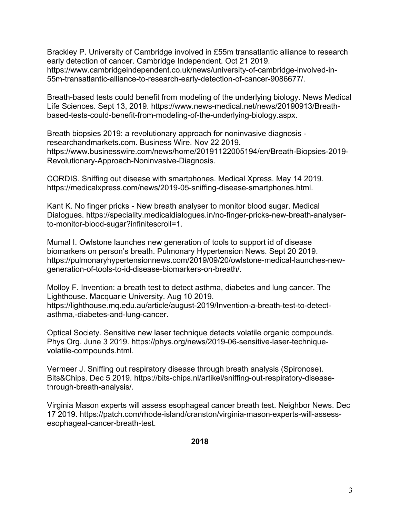Brackley P. University of Cambridge involved in £55m transatlantic alliance to research early detection of cancer. Cambridge Independent. Oct 21 2019. https://www.cambridgeindependent.co.uk/news/university-of-cambridge-involved-in-55m-transatlantic-alliance-to-research-early-detection-of-cancer-9086677/.

Breath-based tests could benefit from modeling of the underlying biology. News Medical Life Sciences. Sept 13, 2019. https://www.news-medical.net/news/20190913/Breathbased-tests-could-benefit-from-modeling-of-the-underlying-biology.aspx.

Breath biopsies 2019: a revolutionary approach for noninvasive diagnosis researchandmarkets.com. Business Wire. Nov 22 2019. https://www.businesswire.com/news/home/20191122005194/en/Breath-Biopsies-2019- Revolutionary-Approach-Noninvasive-Diagnosis.

CORDIS. Sniffing out disease with smartphones. Medical Xpress. May 14 2019. https://medicalxpress.com/news/2019-05-sniffing-disease-smartphones.html.

Kant K. No finger pricks - New breath analyser to monitor blood sugar. Medical Dialogues. https://speciality.medicaldialogues.in/no-finger-pricks-new-breath-analyserto-monitor-blood-sugar?infinitescroll=1.

Mumal I. Owlstone launches new generation of tools to support id of disease biomarkers on person's breath. Pulmonary Hypertension News. Sept 20 2019. https://pulmonaryhypertensionnews.com/2019/09/20/owlstone-medical-launches-newgeneration-of-tools-to-id-disease-biomarkers-on-breath/.

Molloy F. Invention: a breath test to detect asthma, diabetes and lung cancer. The Lighthouse. Macquarie University. Aug 10 2019. https://lighthouse.mq.edu.au/article/august-2019/Invention-a-breath-test-to-detectasthma,-diabetes-and-lung-cancer.

Optical Society. Sensitive new laser technique detects volatile organic compounds. Phys Org. June 3 2019. https://phys.org/news/2019-06-sensitive-laser-techniquevolatile-compounds.html.

Vermeer J. Sniffing out respiratory disease through breath analysis (Spironose). Bits&Chips. Dec 5 2019. https://bits-chips.nl/artikel/sniffing-out-respiratory-diseasethrough-breath-analysis/.

Virginia Mason experts will assess esophageal cancer breath test. Neighbor News. Dec 17 2019. https://patch.com/rhode-island/cranston/virginia-mason-experts-will-assessesophageal-cancer-breath-test.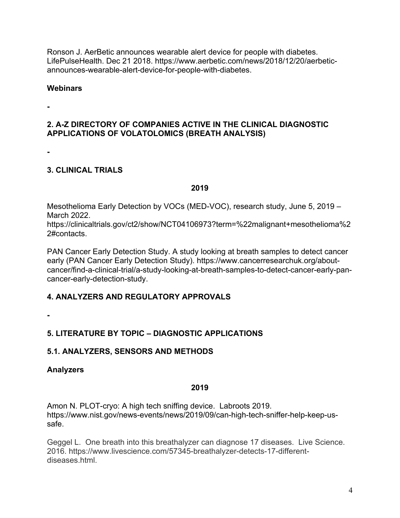Ronson J. AerBetic announces wearable alert device for people with diabetes. LifePulseHealth. Dec 21 2018. https://www.aerbetic.com/news/2018/12/20/aerbeticannounces-wearable-alert-device-for-people-with-diabetes.

## **Webinars**

**-**

## **2. A-Z DIRECTORY OF COMPANIES ACTIVE IN THE CLINICAL DIAGNOSTIC APPLICATIONS OF VOLATOLOMICS (BREATH ANALYSIS)**

**-**

# **3. CLINICAL TRIALS**

## **2019**

Mesothelioma Early Detection by VOCs (MED-VOC), research study, June 5, 2019 – March 2022.

https://clinicaltrials.gov/ct2/show/NCT04106973?term=%22malignant+mesothelioma%2 2#contacts.

PAN Cancer Early Detection Study. A study looking at breath samples to detect cancer early (PAN Cancer Early Detection Study). https://www.cancerresearchuk.org/aboutcancer/find-a-clinical-trial/a-study-looking-at-breath-samples-to-detect-cancer-early-pancancer-early-detection-study.

# **4. ANALYZERS AND REGULATORY APPROVALS**

**-**

# **5. LITERATURE BY TOPIC – DIAGNOSTIC APPLICATIONS**

## **5.1. ANALYZERS, SENSORS AND METHODS**

## **Analyzers**

## **2019**

Amon N. PLOT-cryo: A high tech sniffing device. Labroots 2019. https://www.nist.gov/news-events/news/2019/09/can-high-tech-sniffer-help-keep-ussafe.

Geggel L. One breath into this breathalyzer can diagnose 17 diseases. Live Science. 2016. https://www.livescience.com/57345-breathalyzer-detects-17-differentdiseases.html.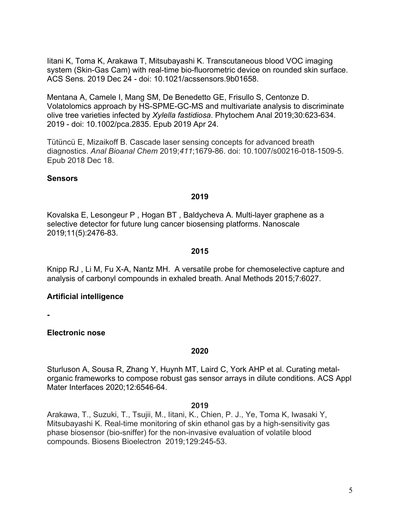Iitani K, Toma K, Arakawa T, Mitsubayashi K. Transcutaneous blood VOC imaging system (Skin-Gas Cam) with real-time bio-fluorometric device on rounded skin surface. ACS Sens*.* 2019 Dec 24 - doi: 10.1021/acssensors.9b01658.

Mentana A, Camele I, Mang SM, De Benedetto GE, Frisullo S, Centonze D. Volatolomics approach by HS-SPME-GC-MS and multivariate analysis to discriminate olive tree varieties infected by *Xylella fastidiosa*. Phytochem Anal 2019;30:623-634. 2019 - doi: 10.1002/pca.2835. Epub 2019 Apr 24.

Tütüncü E, Mizaikoff B. Cascade laser sensing concepts for advanced breath diagnostics. *Anal Bioanal Chem* 2019;*411*;1679-86. doi: 10.1007/s00216-018-1509-5. Epub 2018 Dec 18.

### **Sensors**

#### **2019**

Kovalska E, Lesongeur P , Hogan BT , Baldycheva A. Multi-layer graphene as a selective detector for future lung cancer biosensing platforms. Nanoscale 2019;11(5):2476-83.

#### **2015**

Knipp RJ , Li M, Fu X-A, Nantz MH. A versatile probe for chemoselective capture and analysis of carbonyl compounds in exhaled breath. Anal Methods 2015;7:6027.

## **Artificial intelligence**

**-**

**Electronic nose** 

#### **2020**

Sturluson A, Sousa R, Zhang Y, Huynh MT, Laird C, York AHP et al. Curating metalorganic frameworks to compose robust gas sensor arrays in dilute conditions. ACS Appl Mater Interfaces 2020;12:6546-64.

#### **2019**

Arakawa, T., Suzuki, T., Tsujii, M., Iitani, K., Chien, P. J., Ye, Toma K, Iwasaki Y, Mitsubayashi K. Real-time monitoring of skin ethanol gas by a high-sensitivity gas phase biosensor (bio-sniffer) for the non-invasive evaluation of volatile blood compounds. Biosens Bioelectron 2019;129:245-53.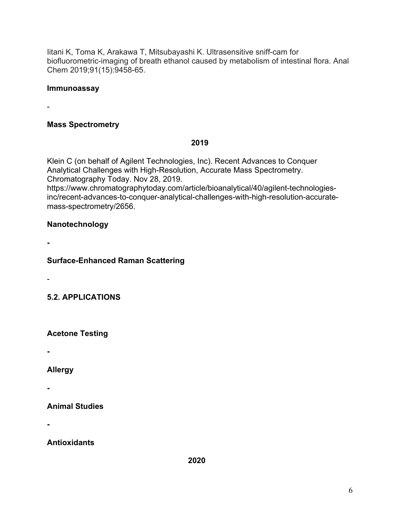Iitani K, Toma K, Arakawa T, Mitsubayashi K. Ultrasensitive sniff-cam for biofluorometric-imaging of breath ethanol caused by metabolism of intestinal flora. Anal Chem 2019;91(15):9458-65.

## **Immunoassay**

-

## **Mass Spectrometry**

### **2019**

Klein C (on behalf of Agilent Technologies, Inc). Recent Advances to Conquer Analytical Challenges with High-Resolution, Accurate Mass Spectrometry. Chromatography Today. Nov 28, 2019.

https://www.chromatographytoday.com/article/bioanalytical/40/agilent-technologiesinc/recent-advances-to-conquer-analytical-challenges-with-high-resolution-accuratemass-spectrometry/2656.

## **Nanotechnology**

**-**

## **Surface-Enhanced Raman Scattering**

-

## **5.2. APPLICATIONS**

**Acetone Testing**

**-**

## **Allergy**

**-**

## **Animal Studies**

**-**

## **Antioxidants**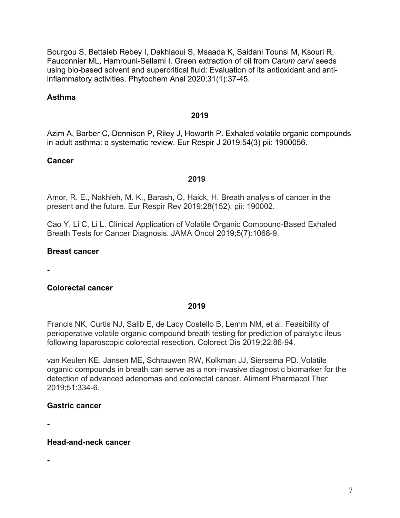Bourgou S, Bettaieb Rebey I, Dakhlaoui S, Msaada K, Saidani Tounsi M, Ksouri R, Fauconnier ML, Hamrouni-Sellami I. Green extraction of oil from *Carum carvi* seeds using bio-based solvent and supercritical fluid: Evaluation of its antioxidant and antiinflammatory activities. Phytochem Anal 2020;31(1):37-45.

## **Asthma**

#### **2019**

Azim A, Barber C, Dennison P, Riley J, Howarth P. Exhaled volatile organic compounds in adult asthma: a systematic review. Eur Respir J 2019;54(3) pii: 1900056.

### **Cancer**

#### **2019**

Amor, R. E., Nakhleh, M. K., Barash, O, Haick, H. Breath analysis of cancer in the present and the future. Eur Respir Rev 2019;28(152): pii: 190002.

Cao Y, Li C, Li L. Clinical Application of Volatile Organic Compound-Based Exhaled Breath Tests for Cancer Diagnosis. JAMA Oncol 2019;5(7):1068-9.

### **Breast cancer**

**-**

## **Colorectal cancer**

#### **2019**

Francis NK, Curtis NJ, Salib E, de Lacy Costello B, Lemm NM, et al. Feasibility of perioperative volatile organic compound breath testing for prediction of paralytic ileus following laparoscopic colorectal resection. Colorect Dis 2019;22:86-94.

van Keulen KE, Jansen ME, Schrauwen RW, Kolkman JJ, Siersema PD. Volatile organic compounds in breath can serve as a non-invasive diagnostic biomarker for the detection of advanced adenomas and colorectal cancer. Aliment Pharmacol Ther 2019;51:334-6.

## **Gastric cancer**

**-**

#### **Head-and-neck cancer**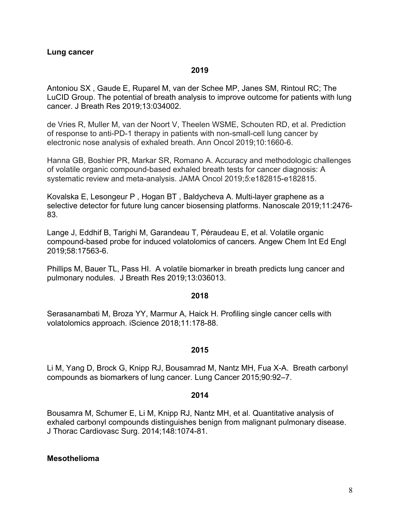#### **Lung cancer**

### **2019**

Antoniou SX , Gaude E, Ruparel M, van der Schee MP, Janes SM, Rintoul RC; The LuCID Group. The potential of breath analysis to improve outcome for patients with lung cancer. J Breath Res 2019;13:034002.

de Vries R, Muller M, van der Noort V, Theelen WSME, Schouten RD, et al. Prediction of response to anti-PD-1 therapy in patients with non-small-cell lung cancer by electronic nose analysis of exhaled breath. Ann Oncol 2019;10:1660-6.

Hanna GB, Boshier PR, Markar SR, Romano A. Accuracy and methodologic challenges of volatile organic compound-based exhaled breath tests for cancer diagnosis: A systematic review and meta-analysis. JAMA Oncol 2019;*5*:e182815-e182815.

Kovalska E, Lesongeur P , Hogan BT , Baldycheva A. Multi-layer graphene as a selective detector for future lung cancer biosensing platforms. Nanoscale 2019;11:2476- 83.

Lange J, Eddhif B, Tarighi M, Garandeau T, Péraudeau E, et al. Volatile organic compound-based probe for induced volatolomics of cancers. Angew Chem Int Ed Engl 2019;58:17563-6.

Phillips M, Bauer TL, Pass HI. A volatile biomarker in breath predicts lung cancer and pulmonary nodules. J Breath Res 2019;13:036013.

#### **2018**

Serasanambati M, Broza YY, Marmur A, Haick H. Profiling single cancer cells with volatolomics approach. iScience 2018;11:178-88.

#### **2015**

Li M, Yang D, Brock G, Knipp RJ, Bousamrad M, Nantz MH, Fua X-A. Breath carbonyl compounds as biomarkers of lung cancer. Lung Cancer 2015;90:92–7.

#### **2014**

Bousamra M, Schumer E, Li M, Knipp RJ, Nantz MH, et al. Quantitative analysis of exhaled carbonyl compounds distinguishes benign from malignant pulmonary disease. J Thorac Cardiovasc Surg. 2014;148:1074-81.

#### **Mesothelioma**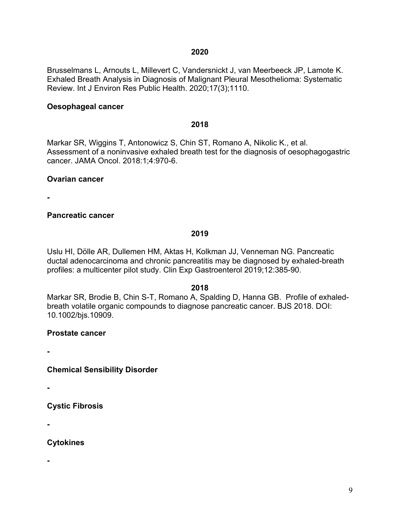Brusselmans L, Arnouts L, Millevert C, Vandersnickt J, van Meerbeeck JP, Lamote K. Exhaled Breath Analysis in Diagnosis of Malignant Pleural Mesothelioma: Systematic Review. Int J Environ Res Public Health. 2020;17(3);1110.

### **Oesophageal cancer**

#### **2018**

Markar SR, Wiggins T, Antonowicz S, Chin ST, Romano A, Nikolic K., et al. Assessment of a noninvasive exhaled breath test for the diagnosis of oesophagogastric cancer. JAMA Oncol. 2018:1;4:970-6.

#### **Ovarian cancer**

**-**

**Pancreatic cancer**

#### **2019**

Uslu HI, Dölle AR, Dullemen HM, Aktas H, Kolkman JJ, Venneman NG. Pancreatic ductal adenocarcinoma and chronic pancreatitis may be diagnosed by exhaled-breath profiles: a multicenter pilot study. Clin Exp Gastroenterol 2019;12:385-90.

**2018**

Markar SR, Brodie B, Chin S-T, Romano A, Spalding D, Hanna GB. Profile of exhaledbreath volatile organic compounds to diagnose pancreatic cancer. BJS 2018. DOI: 10.1002/bjs.10909.

**Prostate cancer** 

**Chemical Sensibility Disorder** 

**-**

**-**

**Cystic Fibrosis** 

**-**

**Cytokines**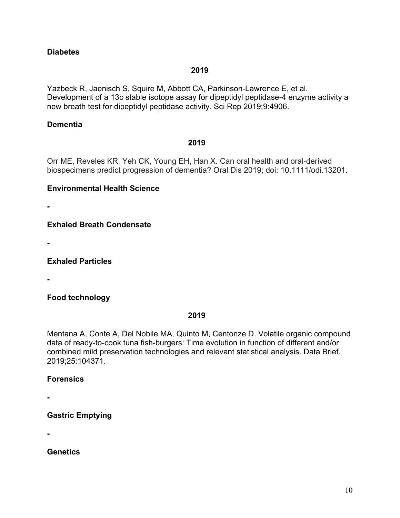## **Diabetes**

## **2019**

Yazbeck R, Jaenisch S, Squire M, Abbott CA, Parkinson-Lawrence E, et al. Development of a 13c stable isotope assay for dipeptidyl peptidase-4 enzyme activity a new breath test for dipeptidyl peptidase activity. Sci Rep 2019;9:4906.

### **Dementia**

#### **2019**

Orr ME, Reveles KR, Yeh CK, Young EH, Han X. Can oral health and oral-derived biospecimens predict progression of dementia? Oral Dis 2019; doi: 10.1111/odi.13201.

### **Environmental Health Science**

**-**

**-**

**Exhaled Breath Condensate** 

**Exhaled Particles** 

**-**

## **Food technology**

#### **2019**

Mentana A, Conte A, Del Nobile MA, Quinto M, Centonze D. Volatile organic compound data of ready-to-cook tuna fish-burgers: Time evolution in function of different and/or combined mild preservation technologies and relevant statistical analysis. Data Brief. 2019;25:104371.

#### **Forensics**

**-**

## **Gastric Emptying**

**-**

**Genetics**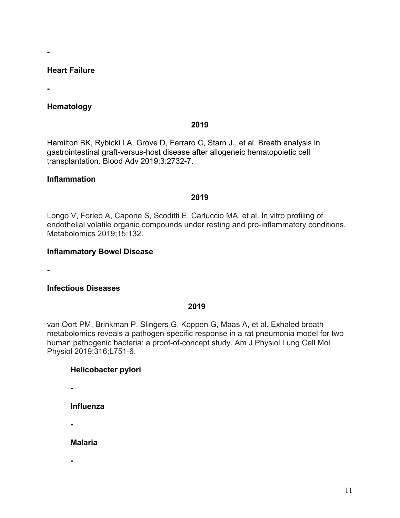## **Heart Failure**

**-**

**-**

## **Hematology**

#### **2019**

Hamilton BK, Rybicki LA, Grove D, Ferraro C, Starn J., et al. Breath analysis in gastrointestinal graft-versus-host disease after allogeneic hematopoietic cell transplantation. Blood Adv 2019;3:2732-7.

### **Inflammation**

#### **2019**

Longo V, Forleo A, Capone S, Scoditti E, Carluccio MA, et al. In vitro profiling of endothelial volatile organic compounds under resting and pro-inflammatory conditions. Metabolomics 2019;15:132.

### **Inflammatory Bowel Disease**

**-**

## **Infectious Diseases**

## **2019**

van Oort PM, Brinkman P, Slingers G, Koppen G, Maas A, et al. Exhaled breath metabolomics reveals a pathogen-specific response in a rat pneumonia model for two human pathogenic bacteria: a proof-of-concept study. Am J Physiol Lung Cell Mol Physiol 2019;316;L751-6.

## **Helicobacter pylori**

**-**

**Influenza** 

**-**

**-**

**Malaria** 

11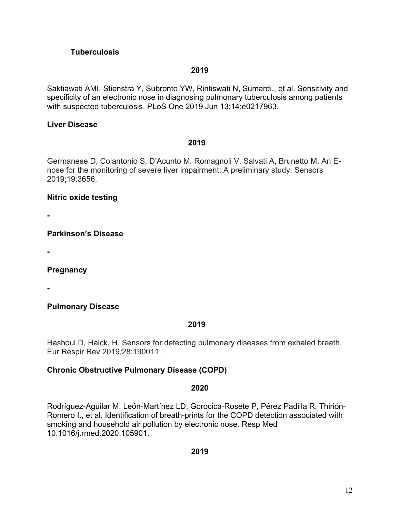## **Tuberculosis**

## **2019**

Saktiawati AMI, Stienstra Y, Subronto YW, Rintiswati N, Sumardi., et al. Sensitivity and specificity of an electronic nose in diagnosing pulmonary tuberculosis among patients with suspected tuberculosis. PLoS One 2019 Jun 13;14:e0217963.

## **Liver Disease**

#### **2019**

Germanese D, Colantonio S, D'Acunto M, Romagnoli V, Salvati A, Brunetto M. An Enose for the monitoring of severe liver impairment: A preliminary study. Sensors 2019;19:3656.

#### **Nitric oxide testing**

**-**

**Parkinson's Disease** 

**-**

**Pregnancy** 

**-**

## **Pulmonary Disease**

#### **2019**

Hashoul D, Haick, H. Sensors for detecting pulmonary diseases from exhaled breath. Eur Respir Rev 2019*;*28:190011.

## **Chronic Obstructive Pulmonary Disease (COPD)**

## **2020**

Rodríguez-Aguilar M, León-Martínez LD, Gorocica-Rosete P, Pérez Padilla R, Thirión-Romero I., et al. Identification of breath-prints for the COPD detection associated with smoking and household air pollution by electronic nose. Resp Med 10.1016/j.rmed.2020.105901.

## **2019**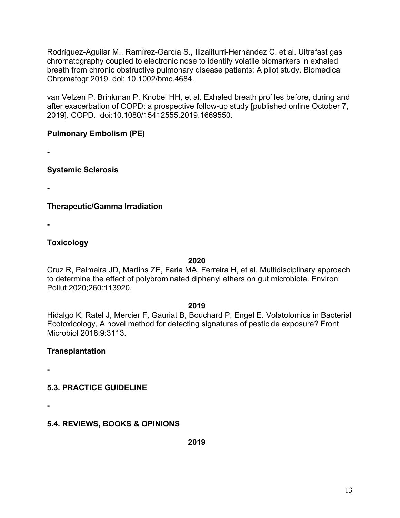Rodríguez-Aguilar M., Ramírez-García S., Ilizaliturri-Hernández C. et al. Ultrafast gas chromatography coupled to electronic nose to identify volatile biomarkers in exhaled breath from chronic obstructive pulmonary disease patients: A pilot study. Biomedical Chromatogr 2019. doi: 10.1002/bmc.4684.

van Velzen P, Brinkman P, Knobel HH, et al. Exhaled breath profiles before, during and after exacerbation of COPD: a prospective follow-up study [published online October 7, 2019]. COPD. doi:10.1080/15412555.2019.1669550.

## **Pulmonary Embolism (PE)**

**-**

**Systemic Sclerosis** 

**-**

**Therapeutic/Gamma Irradiation** 

**-**

# **Toxicology**

## **2020**

Cruz R, Palmeira JD, Martins ZE, Faria MA, Ferreira H, et al. Multidisciplinary approach to determine the effect of polybrominated diphenyl ethers on gut microbiota. Environ Pollut 2020;260:113920.

## **2019**

Hidalgo K, Ratel J, Mercier F, Gauriat B, Bouchard P, Engel E. Volatolomics in Bacterial Ecotoxicology, A novel method for detecting signatures of pesticide exposure? Front Microbiol 2018;9:3113.

## **Transplantation**

**-**

# **5.3. PRACTICE GUIDELINE**

**-**

**5.4. REVIEWS, BOOKS & OPINIONS**

**2019**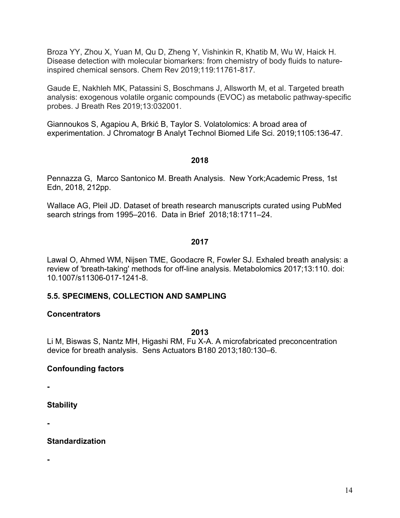Broza YY, Zhou X, Yuan M, Qu D, Zheng Y, Vishinkin R, Khatib M, Wu W, Haick H. Disease detection with molecular biomarkers: from chemistry of body fluids to natureinspired chemical sensors. Chem Rev 2019;119:11761-817.

Gaude E, Nakhleh MK, Patassini S, Boschmans J, Allsworth M, et al. Targeted breath analysis: exogenous volatile organic compounds (EVOC) as metabolic pathway-specific probes. J Breath Res 2019;13:032001.

Giannoukos S, Agapiou A, Brkić B, Taylor S. Volatolomics: A broad area of experimentation. J Chromatogr B Analyt Technol Biomed Life Sci. 2019;1105:136-47.

#### **2018**

Pennazza G, Marco Santonico M. Breath Analysis. New York;Academic Press, 1st Edn, 2018, 212pp.

Wallace AG, Pleil JD. Dataset of breath research manuscripts curated using PubMed search strings from 1995–2016. Data in Brief 2018;18:1711–24.

#### **2017**

Lawal O, Ahmed WM, Nijsen TME, Goodacre R, Fowler SJ. Exhaled breath analysis: a review of 'breath-taking' methods for off-line analysis. Metabolomics 2017;13:110. doi: 10.1007/s11306-017-1241-8.

## **5.5. SPECIMENS, COLLECTION AND SAMPLING**

#### **Concentrators**

**2013**

Li M, Biswas S, Nantz MH, Higashi RM, Fu X-A. A microfabricated preconcentration device for breath analysis. Sens Actuators B180 2013;180:130–6.

## **Confounding factors**

**-**

**Stability** 

**-**

**Standardization**